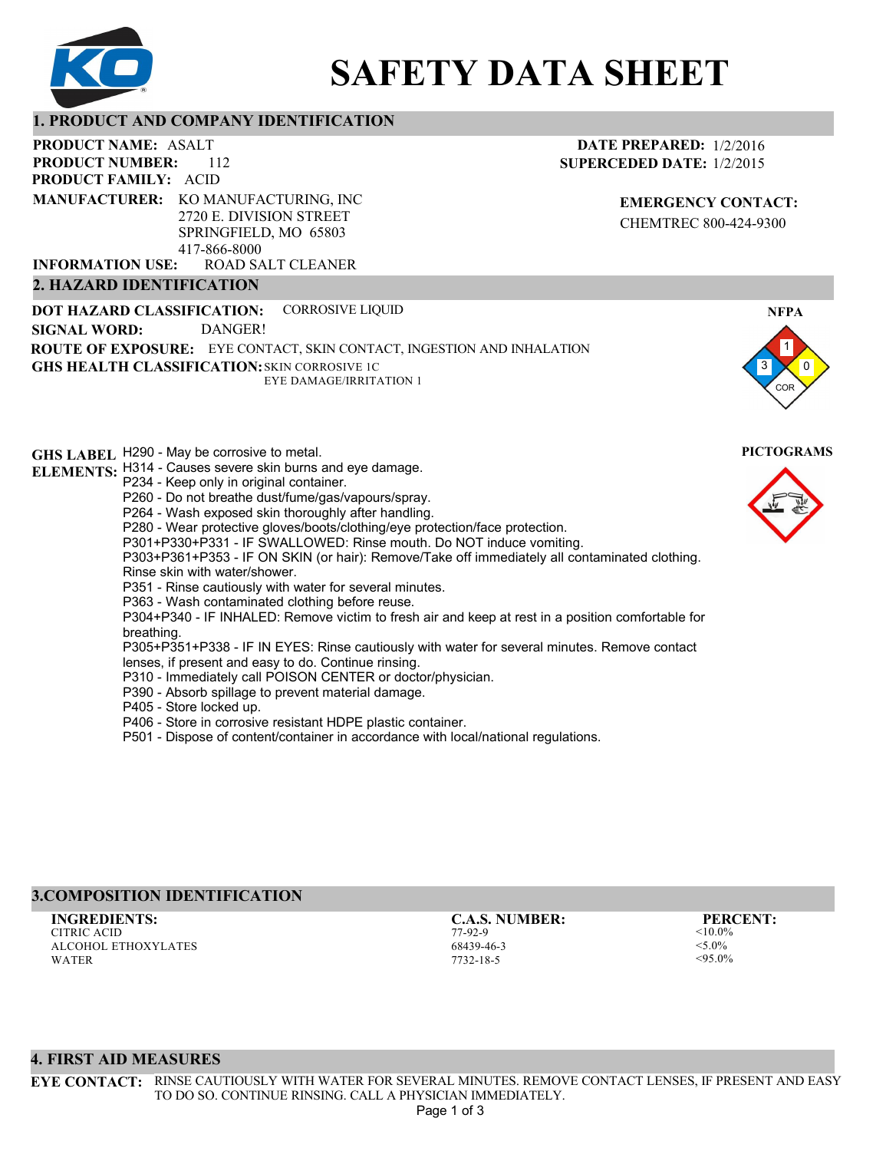

# **SAFETY DATA SHEET**

## **1. PRODUCT AND COMPANY IDENTIFICATION**

417-866-8000

ROAD SALT CLEANER

112 PRODUCT NAME: ASALT **PRODUCT FAMILY: ACID PRODUCT NUMBER: MANUFACTURER:** KO MANUFACTURING, INC 2720 E. DIVISION STREET SPRINGFIELD, MO 65803

**2. HAZARD IDENTIFICATION**

**INFORMATION USE:**

**DATE PREPARED:** 1/2/2016 **SUPERCEDED DATE:** 1/2/2015

> **EMERGENCY CONTACT:** CHEMTREC 800-424-9300

3 1 0 COR **NFPA DOT HAZARD CLASSIFICATION: GHS HEALTH CLASSIFICATION:** SKIN CORROSIVE 1C **ROUTE OF EXPOSURE:** EYE CONTACT, SKIN CONTACT, INGESTION AND INHALATION **GHS LABEL**  H290 - May be corrosive to metal. **PICTOGRAMS ELEMENTS:** H314 - Causes severe skin burns and eye damage. CORROSIVE LIQUID EYE DAMAGE/IRRITATION 1 **SIGNAL WORD:** DANGER! P234 - Keep only in original container. P260 - Do not breathe dust/fume/gas/vapours/spray. P264 - Wash exposed skin thoroughly after handling. P280 - Wear protective gloves/boots/clothing/eye protection/face protection. P301+P330+P331 - IF SWALLOWED: Rinse mouth. Do NOT induce vomiting. P303+P361+P353 - IF ON SKIN (or hair): Remove/Take off immediately all contaminated clothing. Rinse skin with water/shower. P351 - Rinse cautiously with water for several minutes. P363 - Wash contaminated clothing before reuse. P304+P340 - IF INHALED: Remove victim to fresh air and keep at rest in a position comfortable for breathing. P305+P351+P338 - IF IN EYES: Rinse cautiously with water for several minutes. Remove contact lenses, if present and easy to do. Continue rinsing. P310 - Immediately call POISON CENTER or doctor/physician.

P390 - Absorb spillage to prevent material damage.

P405 - Store locked up.

P406 - Store in corrosive resistant HDPE plastic container.

P501 - Dispose of content/container in accordance with local/national regulations.

# **3.COMPOSITION IDENTIFICATION**

CITRIC ACID ALCOHOL ETHOXYLATES WATER **INGREDIENTS: C.A.S. NUMBER: PERCENT:**

77-92-9 68439-46-3 7732-18-5

 $<$ 10.0%  $<$  5.0%  $< 95.0%$ 





## **4. FIRST AID MEASURES**

**EYE CONTACT:** RINSE CAUTIOUSLY WITH WATER FOR SEVERAL MINUTES. REMOVE CONTACT LENSES, IF PRESENT AND EASY TO DO SO. CONTINUE RINSING. CALL A PHYSICIAN IMMEDIATELY.

Page 1 of 3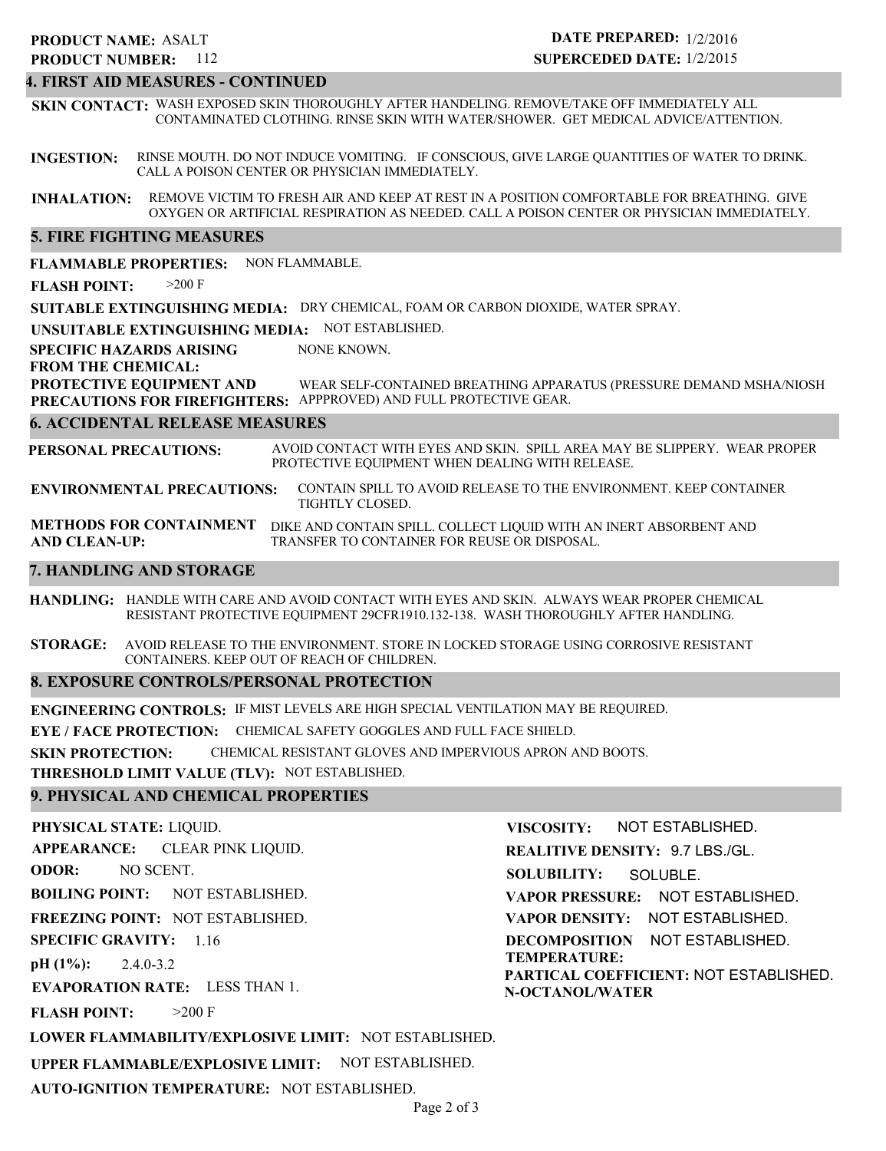## **PRODUCT NAME: ASALT**

**PRODUCT NUMBER:** 112

## **DATE PREPARED:** 1/2/2016 **SUPERCEDED DATE:** 1/2/2015

## **4. FIRST AID MEASURES - CONTINUED**

**SKIN CONTACT:** WASH EXPOSED SKIN THOROUGHLY AFTER HANDELING. REMOVE/TAKE OFF IMMEDIATELY ALL CONTAMINATED CLOTHING. RINSE SKIN WITH WATER/SHOWER. GET MEDICAL ADVICE/ATTENTION.

**INGESTION:** RINSE MOUTH. DO NOT INDUCE VOMITING. IF CONSCIOUS, GIVE LARGE QUANTITIES OF WATER TO DRINK. CALL A POISON CENTER OR PHYSICIAN IMMEDIATELY.

**INHALATION:** REMOVE VICTIM TO FRESH AIR AND KEEP AT REST IN A POSITION COMFORTABLE FOR BREATHING. GIVE OXYGEN OR ARTIFICIAL RESPIRATION AS NEEDED. CALL A POISON CENTER OR PHYSICIAN IMMEDIATELY.

## **5. FIRE FIGHTING MEASURES**

**FLAMMABLE PROPERTIES:** NON FLAMMABLE.

**FLASH POINT:** >200 F

**SUITABLE EXTINGUISHING MEDIA:** DRY CHEMICAL, FOAM OR CARBON DIOXIDE, WATER SPRAY.

**UNSUITABLE EXTINGUISHING MEDIA:** NOT ESTABLISHED.

**SPECIFIC HAZARDS ARISING** NONE KNOWN.

**FROM THE CHEMICAL:**

**PROTECTIVE EQUIPMENT AND PRECAUTIONS FOR FIREFIGHTERS:** APPPROVED) AND FULL PROTECTIVE GEAR. WEAR SELF-CONTAINED BREATHING APPARATUS (PRESSURE DEMAND MSHA/NIOSH

#### **6. ACCIDENTAL RELEASE MEASURES**

**PERSONAL PRECAUTIONS:** AVOID CONTACT WITH EYES AND SKIN. SPILL AREA MAY BE SLIPPERY. WEAR PROPER PROTECTIVE EQUIPMENT WHEN DEALING WITH RELEASE.

**ENVIRONMENTAL PRECAUTIONS:** CONTAIN SPILL TO AVOID RELEASE TO THE ENVIRONMENT. KEEP CONTAINER TIGHTLY CLOSED.

**METHODS FOR CONTAINMENT** DIKE AND CONTAIN SPILL. COLLECT LIQUID WITH AN INERT ABSORBENT AND **AND CLEAN-UP:** TRANSFER TO CONTAINER FOR REUSE OR DISPOSAL.

## **7. HANDLING AND STORAGE**

**HANDLING:** HANDLE WITH CARE AND AVOID CONTACT WITH EYES AND SKIN. ALWAYS WEAR PROPER CHEMICAL RESISTANT PROTECTIVE EQUIPMENT 29CFR1910.132-138. WASH THOROUGHLY AFTER HANDLING.

**STORAGE:** AVOID RELEASE TO THE ENVIRONMENT. STORE IN LOCKED STORAGE USING CORROSIVE RESISTANT CONTAINERS. KEEP OUT OF REACH OF CHILDREN.

## **8. EXPOSURE CONTROLS/PERSONAL PROTECTION**

**ENGINEERING CONTROLS:** IF MIST LEVELS ARE HIGH SPECIAL VENTILATION MAY BE REQUIRED.

**EYE / FACE PROTECTION:** CHEMICAL SAFETY GOGGLES AND FULL FACE SHIELD.

**SKIN PROTECTION:** CHEMICAL RESISTANT GLOVES AND IMPERVIOUS APRON AND BOOTS.

**THRESHOLD LIMIT VALUE (TLV):** NOT ESTABLISHED.

## **9. PHYSICAL AND CHEMICAL PROPERTIES**

**PHYSICAL STATE:** LIQUID. **APPEARANCE: ODOR: BOILING POINT:** NOT ESTABLISHED. **FREEZING POINT:** NOT ESTABLISHED. **SPECIFIC GRAVITY:** 1.16 **pH (1%): EVAPORATION RATE:** LESS THAN 1. **FLASH POINT: LOWER FLAMMABILITY/EXPLOSIVE LIMIT:** NOT ESTABLISHED. 2.4.0-3.2  $>200$  F CLEAR PINK LIQUID. NO SCENT. **VISCOSITY: REALITIVE DENSITY:** 9.7 LBS./GL. **SOLUBILITY: VAPOR PRESSURE:** NOT ESTABLISHED. **VAPOR DENSITY:** NOT ESTABLISHED. **DECOMPOSITION** NOT ESTABLISHED. **TEMPERATURE: PARTICAL COEFFICIENT:** NOT ESTABLISHED. **N-OCTANOL/WATER** NOT ESTABLISHED. SOLUBLE.

**UPPER FLAMMABLE/EXPLOSIVE LIMIT:** NOT ESTABLISHED.

**AUTO-IGNITION TEMPERATURE:** NOT ESTABLISHED.